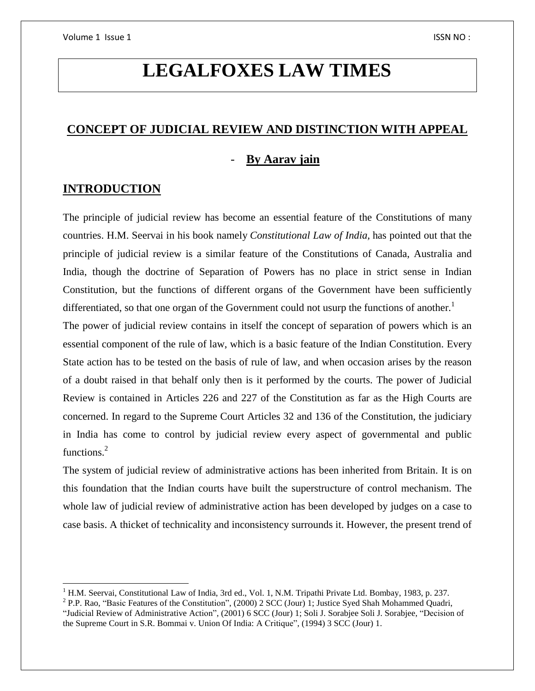# **LEGALFOXES LAW TIMES**

### **CONCEPT OF JUDICIAL REVIEW AND DISTINCTION WITH APPEAL**

### - **By Aarav jain**

### **INTRODUCTION**

 $\overline{\phantom{a}}$ 

The principle of judicial review has become an essential feature of the Constitutions of many countries. H.M. Seervai in his book namely *Constitutional Law of India,* has pointed out that the principle of judicial review is a similar feature of the Constitutions of Canada, Australia and India, though the doctrine of Separation of Powers has no place in strict sense in Indian Constitution, but the functions of different organs of the Government have been sufficiently differentiated, so that one organ of the Government could not usurp the functions of another.<sup>1</sup>

The power of judicial review contains in itself the concept of separation of powers which is an essential component of the rule of law, which is a basic feature of the Indian Constitution. Every State action has to be tested on the basis of rule of law, and when occasion arises by the reason of a doubt raised in that behalf only then is it performed by the courts. The power of Judicial Review is contained in Articles 226 and 227 of the Constitution as far as the High Courts are concerned. In regard to the Supreme Court Articles 32 and 136 of the Constitution, the judiciary in India has come to control by judicial review every aspect of governmental and public functions.<sup>2</sup>

The system of judicial review of administrative actions has been inherited from Britain. It is on this foundation that the Indian courts have built the superstructure of control mechanism. The whole law of judicial review of administrative action has been developed by judges on a case to case basis. A thicket of technicality and inconsistency surrounds it. However, the present trend of

<sup>&</sup>lt;sup>1</sup> H.M. Seervai, Constitutional Law of India, 3rd ed., Vol. 1, N.M. Tripathi Private Ltd. Bombay, 1983, p. 237.

<sup>&</sup>lt;sup>2</sup> P.P. Rao, "Basic Features of the Constitution", (2000) 2 SCC (Jour) 1; Justice Syed Shah Mohammed Quadri, "Judicial Review of Administrative Action", (2001) 6 SCC (Jour) 1; Soli J. Sorabjee Soli J. Sorabjee, "Decision of the Supreme Court in S.R. Bommai v. Union Of India: A Critique", (1994) 3 SCC (Jour) 1.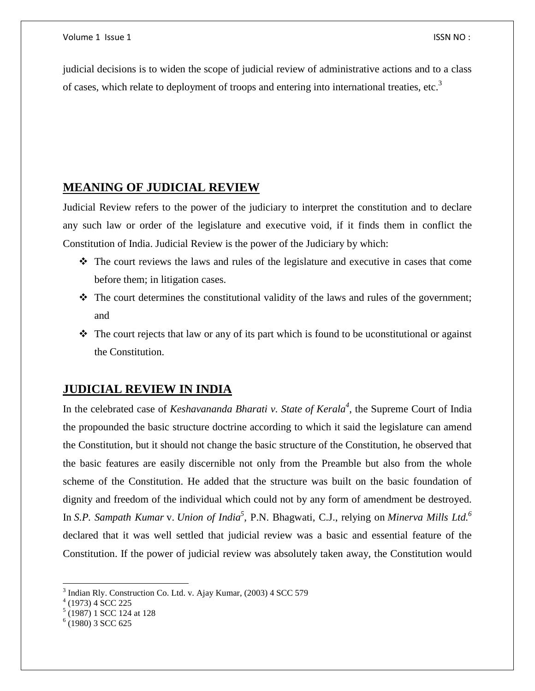judicial decisions is to widen the scope of judicial review of administrative actions and to a class of cases, which relate to deployment of troops and entering into international treaties, etc.<sup>3</sup>

### **MEANING OF JUDICIAL REVIEW**

Judicial Review refers to the power of the judiciary to interpret the constitution and to declare any such law or order of the legislature and executive void, if it finds them in conflict the Constitution of India. Judicial Review is the power of the Judiciary by which:

- $\hat{\mathbf{v}}$  The court reviews the laws and rules of the legislature and executive in cases that come before them; in litigation cases.
- $\cdot \cdot$  The court determines the constitutional validity of the laws and rules of the government; and
- $\cdot \cdot$  The court rejects that law or any of its part which is found to be uconstitutional or against the Constitution.

### **JUDICIAL REVIEW IN INDIA**

In the celebrated case of *Keshavananda Bharati v. State of Kerala<sup>4</sup>* , the Supreme Court of India the propounded the basic structure doctrine according to which it said the legislature can amend the Constitution, but it should not change the basic structure of the Constitution, he observed that the basic features are easily discernible not only from the Preamble but also from the whole scheme of the Constitution. He added that the structure was built on the basic foundation of dignity and freedom of the individual which could not by any form of amendment be destroyed. In *S.P. Sampath Kumar* v. *Union of India<sup>5</sup>* , P.N. Bhagwati, C.J., relying on *Minerva Mills Ltd.<sup>6</sup>* declared that it was well settled that judicial review was a basic and essential feature of the Constitution. If the power of judicial review was absolutely taken away, the Constitution would

 $\overline{\phantom{a}}$ 

<sup>&</sup>lt;sup>3</sup> Indian Rly. Construction Co. Ltd. v. Ajay Kumar, (2003) 4 SCC 579

 $4(1973)$  4 SCC 225

<sup>5</sup> (1987) 1 SCC 124 at 128

 $6(1980)$  3 SCC 625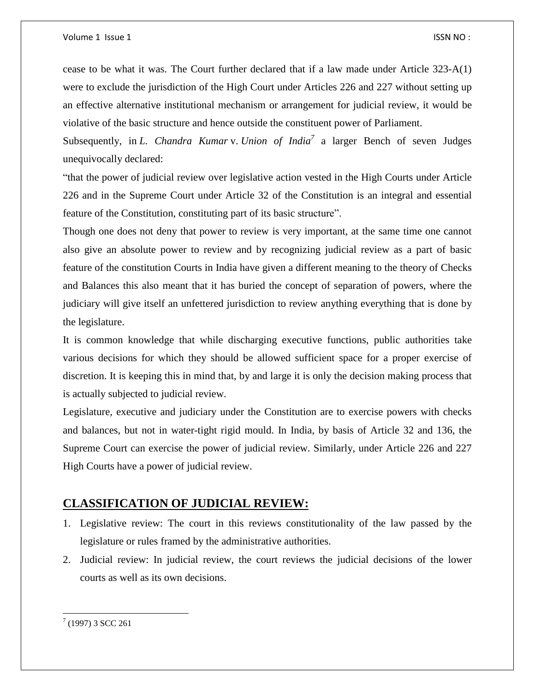cease to be what it was. The Court further declared that if a law made under Article 323-A(1) were to exclude the jurisdiction of the High Court under Articles 226 and 227 without setting up an effective alternative institutional mechanism or arrangement for judicial review, it would be violative of the basic structure and hence outside the constituent power of Parliament.

Subsequently, in *L. Chandra Kumar* v. *Union of India<sup>7</sup>* a larger Bench of seven Judges unequivocally declared:

"that the power of judicial review over legislative action vested in the High Courts under Article 226 and in the Supreme Court under Article 32 of the Constitution is an integral and essential feature of the Constitution, constituting part of its basic structure".

Though one does not deny that power to review is very important, at the same time one cannot also give an absolute power to review and by recognizing judicial review as a part of basic feature of the constitution Courts in India have given a different meaning to the theory of Checks and Balances this also meant that it has buried the concept of separation of powers, where the judiciary will give itself an unfettered jurisdiction to review anything everything that is done by the legislature.

It is common knowledge that while discharging executive functions, public authorities take various decisions for which they should be allowed sufficient space for a proper exercise of discretion. It is keeping this in mind that, by and large it is only the decision making process that is actually subjected to judicial review.

Legislature, executive and judiciary under the Constitution are to exercise powers with checks and balances, but not in water-tight rigid mould. In India, by basis of Article 32 and 136, the Supreme Court can exercise the power of judicial review. Similarly, under Article 226 and 227 High Courts have a power of judicial review.

### **CLASSIFICATION OF JUDICIAL REVIEW:**

- 1. Legislative review: The court in this reviews constitutionality of the law passed by the legislature or rules framed by the administrative authorities.
- 2. Judicial review: In judicial review, the court reviews the judicial decisions of the lower courts as well as its own decisions.

 $\overline{\phantom{a}}$  $(1997)$  3 SCC 261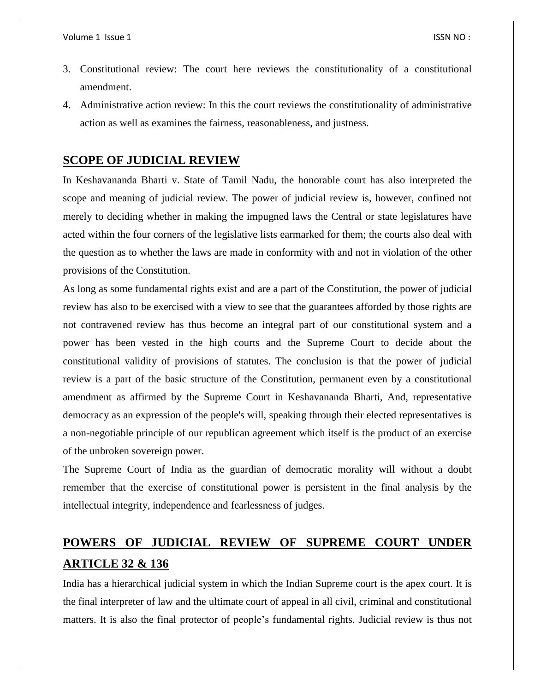- 3. Constitutional review: The court here reviews the constitutionality of a constitutional amendment.
- 4. Administrative action review: In this the court reviews the constitutionality of administrative action as well as examines the fairness, reasonableness, and justness.

### **SCOPE OF JUDICIAL REVIEW**

In Keshavananda Bharti v. State of Tamil Nadu, the honorable court has also interpreted the scope and meaning of judicial review. The power of judicial review is, however, confined not merely to deciding whether in making the impugned laws the Central or state legislatures have acted within the four corners of the legislative lists earmarked for them; the courts also deal with the question as to whether the laws are made in conformity with and not in violation of the other provisions of the Constitution.

As long as some fundamental rights exist and are a part of the Constitution, the power of judicial review has also to be exercised with a view to see that the guarantees afforded by those rights are not contravened review has thus become an integral part of our constitutional system and a power has been vested in the high courts and the Supreme Court to decide about the constitutional validity of provisions of statutes. The conclusion is that the power of judicial review is a part of the basic structure of the Constitution, permanent even by a constitutional amendment as affirmed by the Supreme Court in Keshavananda Bharti, And, representative democracy as an expression of the people's will, speaking through their elected representatives is a non-negotiable principle of our republican agreement which itself is the product of an exercise of the unbroken sovereign power.

The Supreme Court of India as the guardian of democratic morality will without a doubt remember that the exercise of constitutional power is persistent in the final analysis by the intellectual integrity, independence and fearlessness of judges.

## **POWERS OF JUDICIAL REVIEW OF SUPREME COURT UNDER ARTICLE 32 & 136**

India has a hierarchical judicial system in which the Indian Supreme court is the apex court. It is the final interpreter of law and the ultimate court of appeal in all civil, criminal and constitutional matters. It is also the final protector of people's fundamental rights. Judicial review is thus not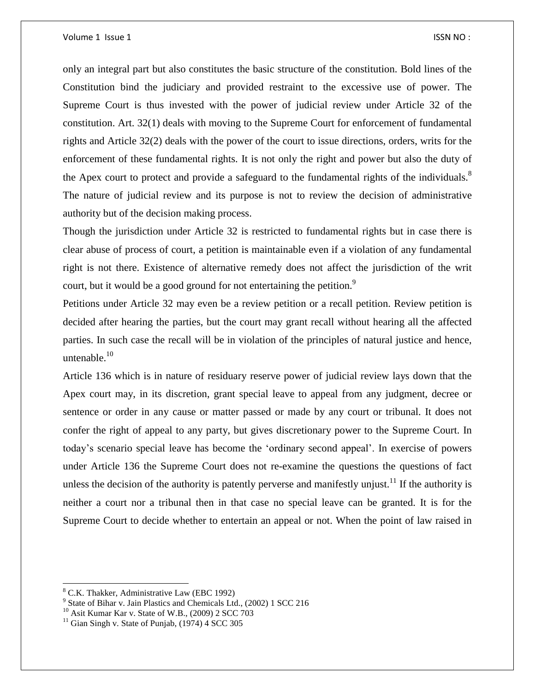#### Volume 1 Issue 1 **ISSN NO** :

only an integral part but also constitutes the basic structure of the constitution. Bold lines of the Constitution bind the judiciary and provided restraint to the excessive use of power. The Supreme Court is thus invested with the power of judicial review under Article 32 of the constitution. Art. 32(1) deals with moving to the Supreme Court for enforcement of fundamental rights and Article 32(2) deals with the power of the court to issue directions, orders, writs for the enforcement of these fundamental rights. It is not only the right and power but also the duty of the Apex court to protect and provide a safeguard to the fundamental rights of the individuals.<sup>8</sup> The nature of judicial review and its purpose is not to review the decision of administrative authority but of the decision making process.

Though the jurisdiction under Article 32 is restricted to fundamental rights but in case there is clear abuse of process of court, a petition is maintainable even if a violation of any fundamental right is not there. Existence of alternative remedy does not affect the jurisdiction of the writ court, but it would be a good ground for not entertaining the petition.<sup>9</sup>

Petitions under Article 32 may even be a review petition or a recall petition. Review petition is decided after hearing the parties, but the court may grant recall without hearing all the affected parties. In such case the recall will be in violation of the principles of natural justice and hence, untenable. $10$ 

Article 136 which is in nature of residuary reserve power of judicial review lays down that the Apex court may, in its discretion, grant special leave to appeal from any judgment, decree or sentence or order in any cause or matter passed or made by any court or tribunal. It does not confer the right of appeal to any party, but gives discretionary power to the Supreme Court. In today's scenario special leave has become the 'ordinary second appeal'. In exercise of powers under Article 136 the Supreme Court does not re-examine the questions the questions of fact unless the decision of the authority is patently perverse and manifestly unjust.<sup>11</sup> If the authority is neither a court nor a tribunal then in that case no special leave can be granted. It is for the Supreme Court to decide whether to entertain an appeal or not. When the point of law raised in

 $\overline{\phantom{a}}$ 

<sup>8</sup> C.K. Thakker, Administrative Law (EBC 1992)

<sup>&</sup>lt;sup>9</sup> State of Bihar v. Jain Plastics and Chemicals Ltd., (2002) 1 SCC 216

<sup>10</sup> Asit Kumar Kar v. State of W.B., (2009) 2 SCC 703

 $11$  Gian Singh v. State of Punjab, (1974) 4 SCC 305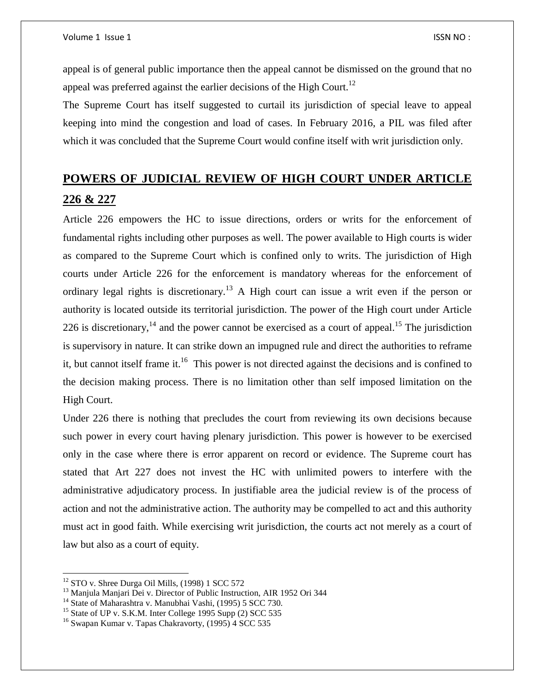appeal is of general public importance then the appeal cannot be dismissed on the ground that no appeal was preferred against the earlier decisions of the High Court.<sup>12</sup>

The Supreme Court has itself suggested to curtail its jurisdiction of special leave to appeal keeping into mind the congestion and load of cases. In February 2016, a PIL was filed after which it was concluded that the Supreme Court would confine itself with writ jurisdiction only.

## **POWERS OF JUDICIAL REVIEW OF HIGH COURT UNDER ARTICLE 226 & 227**

Article 226 empowers the HC to issue directions, orders or writs for the enforcement of fundamental rights including other purposes as well. The power available to High courts is wider as compared to the Supreme Court which is confined only to writs. The jurisdiction of High courts under Article 226 for the enforcement is mandatory whereas for the enforcement of ordinary legal rights is discretionary.<sup>13</sup> A High court can issue a writ even if the person or authority is located outside its territorial jurisdiction. The power of the High court under Article 226 is discretionary,<sup>14</sup> and the power cannot be exercised as a court of appeal.<sup>15</sup> The jurisdiction is supervisory in nature. It can strike down an impugned rule and direct the authorities to reframe it, but cannot itself frame it.<sup>16</sup> This power is not directed against the decisions and is confined to the decision making process. There is no limitation other than self imposed limitation on the High Court.

Under 226 there is nothing that precludes the court from reviewing its own decisions because such power in every court having plenary jurisdiction. This power is however to be exercised only in the case where there is error apparent on record or evidence. The Supreme court has stated that Art 227 does not invest the HC with unlimited powers to interfere with the administrative adjudicatory process. In justifiable area the judicial review is of the process of action and not the administrative action. The authority may be compelled to act and this authority must act in good faith. While exercising writ jurisdiction, the courts act not merely as a court of law but also as a court of equity.

 $\overline{a}$ 

 $12$  STO v. Shree Durga Oil Mills, (1998) 1 SCC 572

<sup>&</sup>lt;sup>13</sup> Manjula Manjari Dei v. Director of Public Instruction, AIR 1952 Ori 344

<sup>&</sup>lt;sup>14</sup> State of Maharashtra v. Manubhai Vashi, (1995) 5 SCC 730.

<sup>&</sup>lt;sup>15</sup> State of UP v. S.K.M. Inter College 1995 Supp (2) SCC 535

<sup>&</sup>lt;sup>16</sup> Swapan Kumar v. Tapas Chakravorty, (1995) 4 SCC 535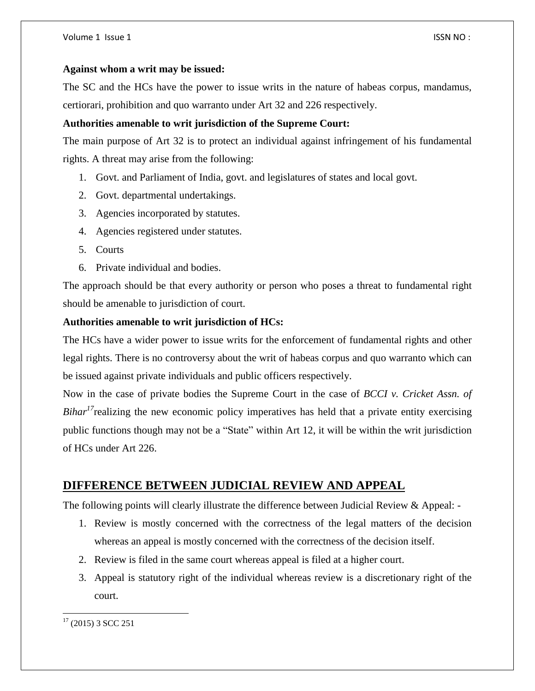### **Against whom a writ may be issued:**

The SC and the HCs have the power to issue writs in the nature of habeas corpus, mandamus, certiorari, prohibition and quo warranto under Art 32 and 226 respectively.

### **Authorities amenable to writ jurisdiction of the Supreme Court:**

The main purpose of Art 32 is to protect an individual against infringement of his fundamental rights. A threat may arise from the following:

- 1. Govt. and Parliament of India, govt. and legislatures of states and local govt.
- 2. Govt. departmental undertakings.
- 3. Agencies incorporated by statutes.
- 4. Agencies registered under statutes.
- 5. Courts
- 6. Private individual and bodies.

The approach should be that every authority or person who poses a threat to fundamental right should be amenable to jurisdiction of court.

### **Authorities amenable to writ jurisdiction of HCs:**

The HCs have a wider power to issue writs for the enforcement of fundamental rights and other legal rights. There is no controversy about the writ of habeas corpus and quo warranto which can be issued against private individuals and public officers respectively.

Now in the case of private bodies the Supreme Court in the case of *BCCI v. Cricket Assn. of Bihar*<sup>17</sup>realizing the new economic policy imperatives has held that a private entity exercising public functions though may not be a "State" within Art 12, it will be within the writ jurisdiction of HCs under Art 226.

### **DIFFERENCE BETWEEN JUDICIAL REVIEW AND APPEAL**

The following points will clearly illustrate the difference between Judicial Review & Appeal: -

- 1. Review is mostly concerned with the correctness of the legal matters of the decision whereas an appeal is mostly concerned with the correctness of the decision itself.
- 2. Review is filed in the same court whereas appeal is filed at a higher court.
- 3. Appeal is statutory right of the individual whereas review is a discretionary right of the court.

 $\overline{\phantom{a}}$  $17$  (2015) 3 SCC 251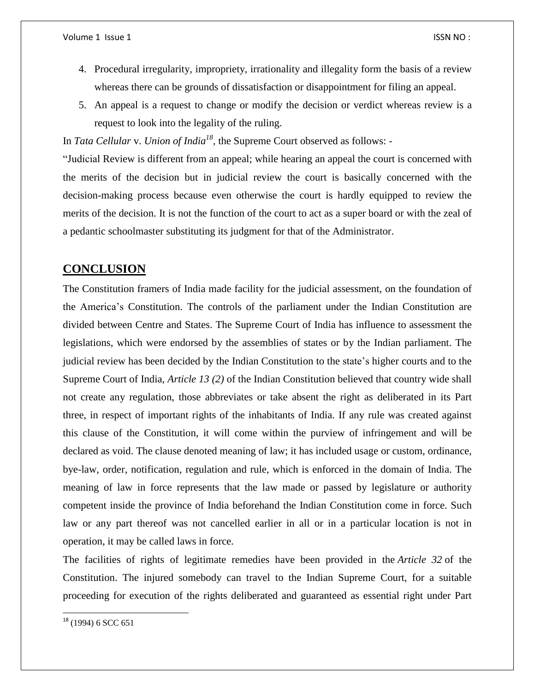- 4. Procedural irregularity, impropriety, irrationality and illegality form the basis of a review whereas there can be grounds of dissatisfaction or disappointment for filing an appeal.
- 5. An appeal is a request to change or modify the decision or verdict whereas review is a request to look into the legality of the ruling.

In *Tata Cellular* v. *Union of India<sup>18</sup>*, the Supreme Court observed as follows: -

"Judicial Review is different from an appeal; while hearing an appeal the court is concerned with the merits of the decision but in judicial review the court is basically concerned with the decision-making process because even otherwise the court is hardly equipped to review the merits of the decision. It is not the function of the court to act as a super board or with the zeal of a pedantic schoolmaster substituting its judgment for that of the Administrator.

### **CONCLUSION**

The Constitution framers of India made facility for the judicial assessment, on the foundation of the America's Constitution. The controls of the parliament under the Indian Constitution are divided between Centre and States. The Supreme Court of India has influence to assessment the legislations, which were endorsed by the assemblies of states or by the Indian parliament. The judicial review has been decided by the Indian Constitution to the state's higher courts and to the Supreme Court of India, *Article 13 (2)* of the Indian Constitution believed that country wide shall not create any regulation, those abbreviates or take absent the right as deliberated in its Part three, in respect of important rights of the inhabitants of India. If any rule was created against this clause of the Constitution, it will come within the purview of infringement and will be declared as void. The clause denoted meaning of law; it has included usage or custom, ordinance, bye-law, order, notification, regulation and rule, which is enforced in the domain of India. The meaning of law in force represents that the law made or passed by legislature or authority competent inside the province of India beforehand the Indian Constitution come in force. Such law or any part thereof was not cancelled earlier in all or in a particular location is not in operation, it may be called laws in force.

The facilities of rights of legitimate remedies have been provided in the *Article 32* of the Constitution. The injured somebody can travel to the Indian Supreme Court, for a suitable proceeding for execution of the rights deliberated and guaranteed as essential right under Part

 $\overline{\phantom{a}}$ 

 $18$  (1994) 6 SCC 651